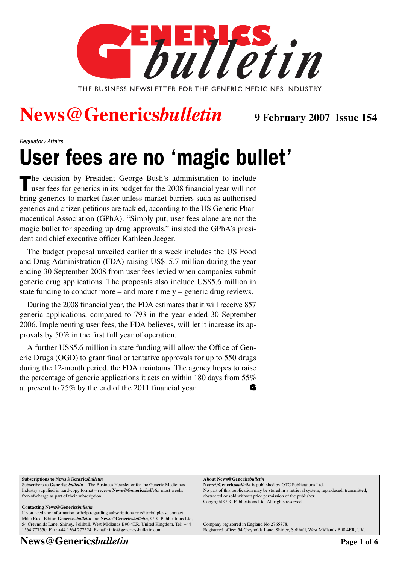

### **News@Generics***bulletin* **9 February 2007 Issue 154**

Regulatory Affairs

## User fees are no 'magic bullet'

The decision by President George Bush's administration to include user fees for generics in its budget for the 2008 financial year will not bring generics to market faster unless market barriers such as authorised generics and citizen petitions are tackled, according to the US Generic Pharmaceutical Association (GPhA). "Simply put, user fees alone are not the magic bullet for speeding up drug approvals," insisted the GPhA's president and chief executive officer Kathleen Jaeger.

The budget proposal unveiled earlier this week includes the US Food and Drug Administration (FDA) raising US\$15.7 million during the year ending 30 September 2008 from user fees levied when companies submit generic drug applications. The proposals also include US\$5.6 million in state funding to conduct more – and more timely – generic drug reviews.

During the 2008 financial year, the FDA estimates that it will receive 857 generic applications, compared to 793 in the year ended 30 September 2006. Implementing user fees, the FDA believes, will let it increase its approvals by 50% in the first full year of operation.

A further US\$5.6 million in state funding will allow the Office of Generic Drugs (OGD) to grant final or tentative approvals for up to 550 drugs during the 12-month period, the FDA maintains. The agency hopes to raise the percentage of generic applications it acts on within 180 days from 55% at present to 75% by the end of the 2011 financial year. **G**

#### **Subscriptions to News@Generics***bulletin*

Subscribers to **Generics** *bulletin* – The Business Newsletter for the Generic Medicines Industry supplied in hard-copy format – receive **News@Generics***bulletin* most weeks free-of-charge as part of their subscription.

#### **Contacting News@Generics***bulletin*

If you need any information or help regarding subscriptions or editorial please contact: Mike Rice, Editor, **Generics** *bulletin* and **News@Generics***bulletin*, OTC Publications Ltd, 54 Creynolds Lane, Shirley, Solihull, West Midlands B90 4ER, United Kingdom. Tel: +44 1564 777550. Fax: +44 1564 777524. E-mail: info@generics-bulletin.com.

**News@Genericsbulletin Page 1 of 6** 

**About News@Generics***bulletin*

**News@Generics***bulletin* is published by OTC Publications Ltd. No part of this publication may be stored in a retrieval system, reproduced, transmitted, abstracted or sold without prior permission of the publisher. Copyright OTC Publications Ltd. All rights reserved.

Company registered in England No 2765878. Registered office: 54 Creynolds Lane, Shirley, Solihull, West Midlands B90 4ER, UK.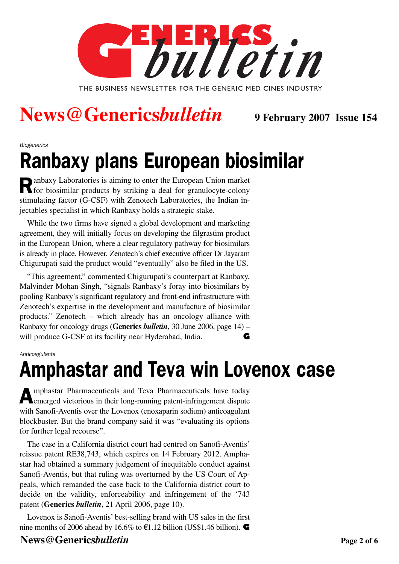

## **News@Generics***bulletin* **9 February 2007 Issue 154**

#### Biogenerics

## Ranbaxy plans European biosimilar

Ranbaxy Laboratories is aiming to enter the European Union market for biosimilar products by striking a deal for granulocyte-colony stimulating factor (G-CSF) with Zenotech Laboratories, the Indian injectables specialist in which Ranbaxy holds a strategic stake.

While the two firms have signed a global development and marketing agreement, they will initially focus on developing the filgrastim product in the European Union, where a clear regulatory pathway for biosimilars is already in place. However, Zenotech's chief executive officer Dr Jayaram Chigurupati said the product would "eventually" also be filed in the US.

"This agreement," commented Chigurupati's counterpart at Ranbaxy, Malvinder Mohan Singh, "signals Ranbaxy's foray into biosimilars by pooling Ranbaxy's significant regulatory and front-end infrastructure with Zenotech's expertise in the development and manufacture of biosimilar products." Zenotech – which already has an oncology alliance with Ranbaxy for oncology drugs (**Generics** *bulletin*, 30 June 2006, page 14) – will produce G-CSF at its facility near Hyderabad, India. **G**

#### Anticoagulants

## Amphastar and Teva win Lovenox case

Amphastar Pharmaceuticals and Teva Pharmaceuticals have today emerged victorious in their long-running patent-infringement dispute with Sanofi-Aventis over the Lovenox (enoxaparin sodium) anticoagulant blockbuster. But the brand company said it was "evaluating its options for further legal recourse".

The case in a California district court had centred on Sanofi-Aventis' reissue patent RE38,743, which expires on 14 February 2012. Amphastar had obtained a summary judgement of inequitable conduct against Sanofi-Aventis, but that ruling was overturned by the US Court of Appeals, which remanded the case back to the California district court to decide on the validity, enforceability and infringement of the '743 patent (**Generics** *bulletin*, 21 April 2006, page 10).

Lovenox is Sanofi-Aventis' best-selling brand with US sales in the first nine months of 2006 ahead by 16.6% to  $\epsilon$ 1.12 billion (US\$1.46 billion).

#### **News@Genericsbulletin Page 2 of 6**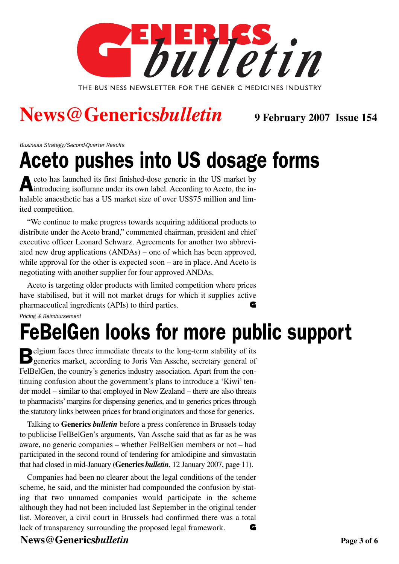

## **News@Generics***bulletin* **9 February 2007 Issue 154**

Business Strategy/Second-Quarter Results

## Aceto pushes into US dosage forms

eto has launched its first finished-dose generic in the US market by<br>introducing isofluone under it. introducing isoflurane under its own label. According to Aceto, the inhalable anaesthetic has a US market size of over US\$75 million and limited competition.

"We continue to make progress towards acquiring additional products to distribute under the Aceto brand," commented chairman, president and chief executive officer Leonard Schwarz. Agreements for another two abbreviated new drug applications (ANDAs) – one of which has been approved, while approval for the other is expected soon – are in place. And Aceto is negotiating with another supplier for four approved ANDAs.

Pricing & Reimbursement Aceto is targeting older products with limited competition where prices have stabilised, but it will not market drugs for which it supplies active pharmaceutical ingredients (APIs) to third parties. **G**

## FeBelGen looks for more public support

**Belgium faces three immediate threats to the long-term stability of its D** generics market, according to Joris Van Assche, secretary general of FelBelGen, the country's generics industry association. Apart from the continuing confusion about the government's plans to introduce a 'Kiwi' tender model – similar to that employed in New Zealand – there are also threats to pharmacists' margins for dispensing generics, and to generics prices through the statutory links between prices for brand originators and those for generics.

Talking to **Generics** *bulletin* before a press conference in Brussels today to publicise FelBelGen's arguments, Van Assche said that as far as he was aware, no generic companies – whether FelBelGen members or not – had participated in the second round of tendering for amlodipine and simvastatin that had closed in mid-January (**Generics** *bulletin*, 12 January 2007, page 11).

Companies had been no clearer about the legal conditions of the tender scheme, he said, and the minister had compounded the confusion by stating that two unnamed companies would participate in the scheme although they had not been included last September in the original tender list. Moreover, a civil court in Brussels had confirmed there was a total lack of transparency surrounding the proposed legal framework. **G**

### **News@Genericsbulletin Page 3 of 6**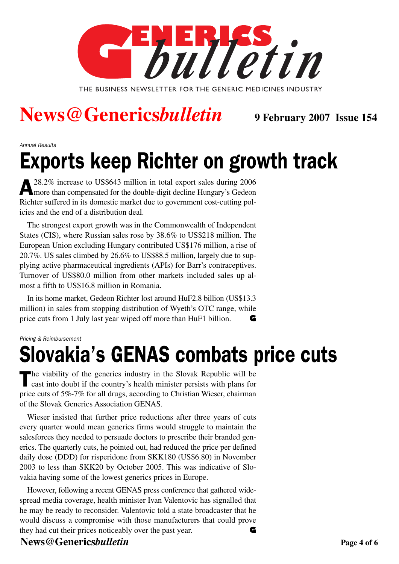

## **News@Generics***bulletin* **9 February 2007 Issue 154**

Annual Results

# Exports keep Richter on growth track

A28.2% increase to US\$643 million in total export sales during 2006 more than compensated for the double-digit decline Hungary's Gedeon Richter suffered in its domestic market due to government cost-cutting policies and the end of a distribution deal.

The strongest export growth was in the Commonwealth of Independent States (CIS), where Russian sales rose by 38.6% to US\$218 million. The European Union excluding Hungary contributed US\$176 million, a rise of 20.7%. US sales climbed by 26.6% to US\$88.5 million, largely due to supplying active pharmaceutical ingredients (APIs) for Barr's contraceptives. Turnover of US\$80.0 million from other markets included sales up almost a fifth to US\$16.8 million in Romania.

In its home market, Gedeon Richter lost around HuF2.8 billion (US\$13.3 million) in sales from stopping distribution of Wyeth's OTC range, while price cuts from 1 July last year wiped off more than HuF1 billion. **G**

Pricing & Reimbursement

# Slovakia's GENAS combats price cuts

 $\blacksquare$  he viability of the generics industry in the Slovak Republic will be cast into doubt if the country's health minister persists with plans for price cuts of 5%-7% for all drugs, according to Christian Wieser, chairman of the Slovak Generics Association GENAS.

Wieser insisted that further price reductions after three years of cuts every quarter would mean generics firms would struggle to maintain the salesforces they needed to persuade doctors to prescribe their branded generics. The quarterly cuts, he pointed out, had reduced the price per defined daily dose (DDD) for risperidone from SKK180 (US\$6.80) in November 2003 to less than SKK20 by October 2005. This was indicative of Slovakia having some of the lowest generics prices in Europe.

However, following a recent GENAS press conference that gathered widespread media coverage, health minister Ivan Valentovic has signalled that he may be ready to reconsider. Valentovic told a state broadcaster that he would discuss a compromise with those manufacturers that could prove they had cut their prices noticeably over the past year. **G**

#### **News@Genericsbulletin Page 4 of 6**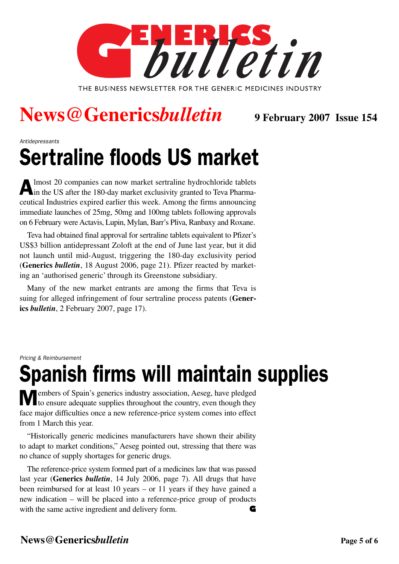

## News @Genericsbulletin 9 February 2007 Issue 154

Antidepressants

# Sertraline floods US market

Almost 20 companies can now market sertraline hydrochloride tablets in the US after the 180-day market exclusivity granted to Teva Pharmaceutical Industries expired earlier this week. Among the firms announcing immediate launches of 25mg, 50mg and 100mg tablets following approvals on 6 February were Actavis, Lupin, Mylan, Barr's Pliva, Ranbaxy and Roxane.

Teva had obtained final approval for sertraline tablets equivalent to Pfizer's US\$3 billion antidepressant Zoloft at the end of June last year, but it did not launch until mid-August, triggering the 180-day exclusivity period (**Generics** *bulletin*, 18 August 2006, page 21). Pfizer reacted by marketing an 'authorised generic' through its Greenstone subsidiary.

Many of the new market entrants are among the firms that Teva is suing for alleged infringement of four sertraline process patents (**Generics** *bulletin*, 2 February 2007, page 17).

Pricing & Reimbursement

# Spanish firms will maintain supplies

Members of Spain's generics industry association, Aeseg, have pledged to ensure adequate supplies throughout the country, even though they face major difficulties once a new reference-price system comes into effect from 1 March this year.

"Historically generic medicines manufacturers have shown their ability to adapt to market conditions," Aeseg pointed out, stressing that there was no chance of supply shortages for generic drugs.

The reference-price system formed part of a medicines law that was passed last year (**Generics** *bulletin*, 14 July 2006, page 7). All drugs that have been reimbursed for at least 10 years – or 11 years if they have gained a new indication – will be placed into a reference-price group of products with the same active ingredient and delivery form. **G**